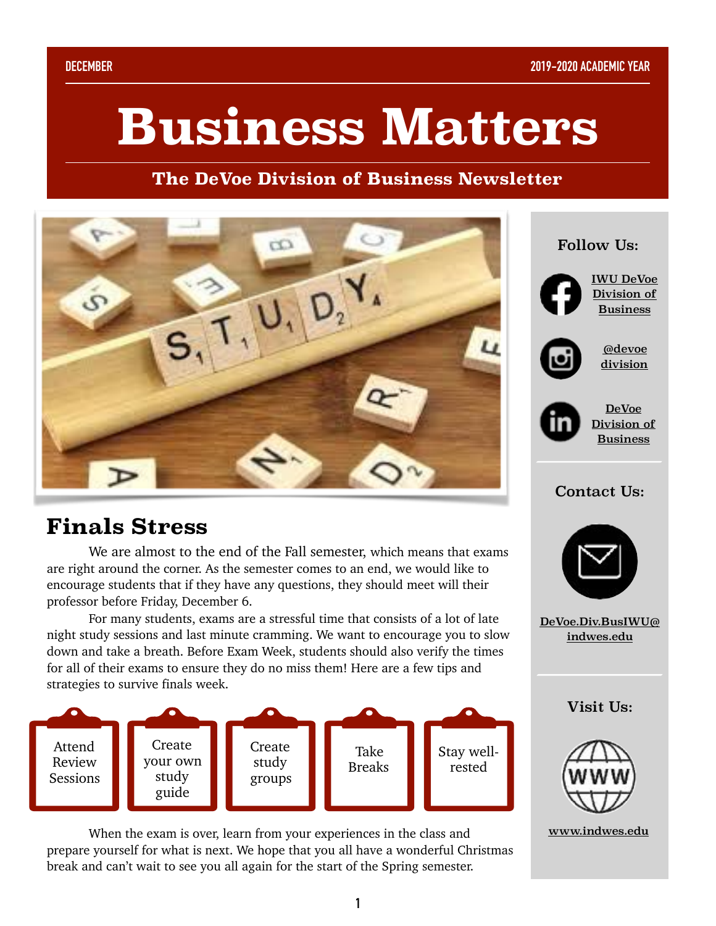# **Business Matters**

#### **The DeVoe Division of Business Newsletter**



## **Finals Stress**

 We are almost to the end of the Fall semester, which means that exams are right around the corner. As the semester comes to an end, we would like to encourage students that if they have any questions, they should meet will their professor before Friday, December 6.

 For many students, exams are a stressful time that consists of a lot of late night study sessions and last minute cramming. We want to encourage you to slow down and take a breath. Before Exam Week, students should also verify the times for all of their exams to ensure they do no miss them! Here are a few tips and strategies to survive finals week.



 When the exam is over, learn from your experiences in the class and prepare yourself for what is next. We hope that you all have a wonderful Christmas break and can't wait to see you all again for the start of the Spring semester.

#### Follow Us:



[IWU DeVoe](https://www.facebook.com/IWUBusinessDivision/?ref=bookmarks)  [Division of](https://www.facebook.com/IWUBusinessDivision/?ref=bookmarks)  [Business](https://www.facebook.com/IWUBusinessDivision/?ref=bookmarks)



[@devoe](https://www.instagram.com/devoedivision/?hl=en) [division](https://www.instagram.com/devoedivision/?hl=en)



[DeVoe](https://www.linkedin.com/company/iwu-devoe-division-of-business/?viewAsMember=true)  [Division of](https://www.linkedin.com/company/iwu-devoe-division-of-business/?viewAsMember=true)  [Business](https://www.linkedin.com/company/iwu-devoe-division-of-business/?viewAsMember=true)

#### Contact Us:



[DeVoe.Div.BusIWU@](mailto:DeVoe.Div.BusIWU@indwes.edu) [indwes.edu](mailto:DeVoe.Div.BusIWU@indwes.edu)

Visit Us:



[www.indwes.edu](https://www.indwes.edu/undergraduate/division-of-business/)